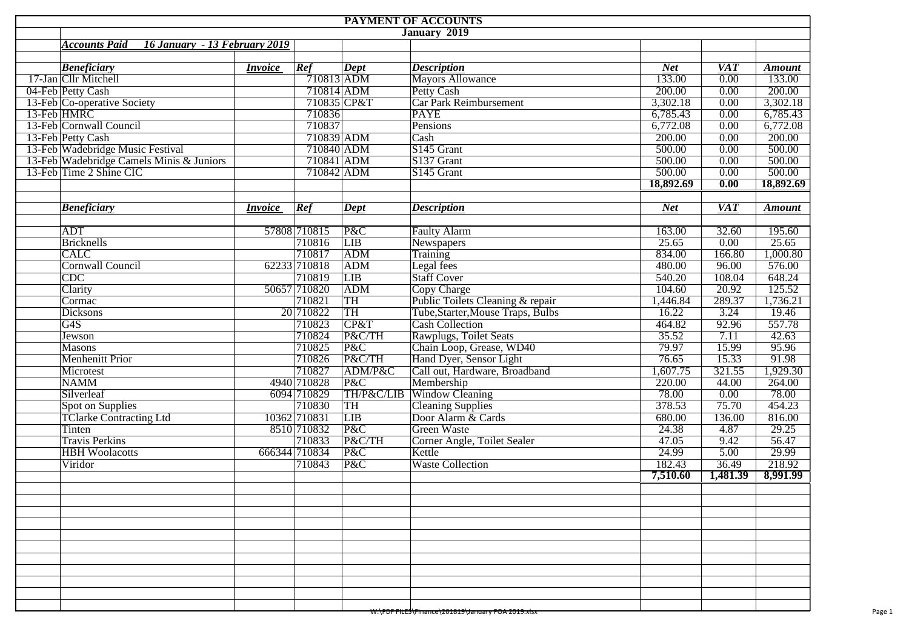|                                          |                               |               |                   | PAYMENT OF ACCOUNTS                               |            |                   |               |
|------------------------------------------|-------------------------------|---------------|-------------------|---------------------------------------------------|------------|-------------------|---------------|
|                                          |                               |               |                   | January 2019                                      |            |                   |               |
| <b>Accounts Paid</b>                     | 16 January - 13 February 2019 |               |                   |                                                   |            |                   |               |
|                                          |                               |               |                   |                                                   |            |                   |               |
| <b>Beneficiary</b>                       | <i>Invoice</i>                | Ref           | $\overline{Dept}$ | <i><b>Description</b></i>                         | <b>Net</b> | <b>VAT</b>        | <b>Amount</b> |
| 17-Jan Cllr Mitchell                     |                               | 710813 ADM    |                   | <b>Mayors Allowance</b>                           | 133.00     | $\overline{0.00}$ | 133.00        |
| 04-Feb Petty Cash                        |                               | 710814 ADM    |                   | Petty Cash                                        | 200.00     | 0.00              | 200.00        |
| 13-Feb Co-operative Society              |                               |               | 710835 CP&T       | Car Park Reimbursement                            | 3,302.18   | 0.00              | 3,302.18      |
| 13-Feb HMRC                              |                               | 710836        |                   | <b>PAYE</b>                                       | 6,785.43   | 0.00              | 6,785.43      |
| 13-Feb Cornwall Council                  |                               | 710837        |                   | Pensions                                          | 6,772.08   | 0.00              | 6,772.08      |
| 13-Feb Petty Cash                        |                               | 710839 ADM    |                   | Cash                                              | 200.00     | 0.00              | 200.00        |
| 13-Feb Wadebridge Music Festival         |                               | 710840 ADM    |                   | S145 Grant                                        | 500.00     | 0.00              | 500.00        |
| 13-Feb Wadebridge Camels Minis & Juniors |                               | 710841 ADM    |                   | S137 Grant                                        | 500.00     | 0.00              | 500.00        |
| 13-Feb Time 2 Shine CIC                  |                               | 710842 ADM    |                   | S145 Grant                                        | 500.00     | 0.00              | 500.00        |
|                                          |                               |               |                   |                                                   | 18,892.69  | 0.00              | 18,892.69     |
|                                          |                               |               |                   |                                                   |            |                   |               |
| <b>Beneficiary</b>                       | <i>Invoice</i>                | Ref           | <b>Dept</b>       | <b>Description</b>                                | <b>Net</b> | <b>VAT</b>        | <b>Amount</b> |
|                                          |                               |               |                   |                                                   |            |                   |               |
| <b>ADT</b>                               |                               | 57808 710815  | P&C               | <b>Faulty Alarm</b>                               | 163.00     | 32.60             | 195.60        |
| <b>Bricknells</b>                        |                               | 710816        | <b>LIB</b>        | Newspapers                                        | 25.65      | 0.00              | 25.65         |
| <b>CALC</b>                              |                               | 710817        | ADM               | <b>Training</b>                                   | 834.00     | 166.80            | 1,000.80      |
| <b>Cornwall Council</b>                  |                               | 62233 710818  | ADM               | Legal fees                                        | 480.00     | 96.00             | 576.00        |
| CDC                                      |                               | 710819        | <b>LIB</b>        | <b>Staff Cover</b>                                | 540.20     | 108.04            | 648.24        |
| Clarity                                  |                               | 50657 710820  | ADM               | <b>Copy Charge</b>                                | 104.60     | 20.92             | 125.52        |
| Cormac                                   |                               | 710821        | TH                | Public Toilets Cleaning & repair                  | 1,446.84   | 289.37            | 1,736.21      |
| <b>Dicksons</b>                          |                               | 20 710822     | TH                | Tube, Starter, Mouse Traps, Bulbs                 | 16.22      | 3.24              | 19.46         |
| G4S                                      |                               | 710823        | CP&T              | <b>Cash Collection</b>                            | 464.82     | 92.96             | 557.78        |
| Jewson                                   |                               | 710824        | P&C/TH            | Rawplugs, Toilet Seats                            | 35.52      | 7.11              | 42.63         |
| <b>Masons</b>                            |                               | 710825        | P&C               | Chain Loop, Grease, WD40                          | 79.97      | 15.99             | 95.96         |
| <b>Menhenitt Prior</b>                   |                               | 710826        | P&C/TH            | Hand Dyer, Sensor Light                           | 76.65      | 15.33             | 91.98         |
| Microtest                                |                               | 710827        | ADM/P&C           | Call out, Hardware, Broadband                     | 1,607.75   | 321.55            | 1,929.30      |
| <b>NAMM</b>                              |                               | 4940 710828   | P&C               | Membership                                        | 220.00     | 44.00             | 264.00        |
| Silverleaf                               |                               | 6094 710829   |                   | TH/P&C/LIB Window Cleaning                        | 78.00      | 0.00              | 78.00         |
| Spot on Supplies                         |                               | 710830        | TH                | <b>Cleaning Supplies</b>                          | 378.53     | 75.70             | 454.23        |
| <b>TClarke Contracting Ltd</b>           |                               | 10362 710831  | LIB               | Door Alarm & Cards                                | 680.00     | 136.00            | 816.00        |
| Tinten                                   |                               | 8510 710832   | P&C               | <b>Green Waste</b>                                | 24.38      | 4.87              | 29.25         |
| <b>Travis Perkins</b>                    |                               | 710833        | P&C/TH            | Corner Angle, Toilet Sealer                       | 47.05      | 9.42              | 56.47         |
| <b>HBH</b> Woolacotts                    |                               | 666344 710834 | P&C               | Kettle                                            | 24.99      | 5.00              | 29.99         |
| Viridor                                  |                               | 710843        | P&C               | <b>Waste Collection</b>                           | 182.43     | 36.49             | 218.92        |
|                                          |                               |               |                   |                                                   | 7,510.60   | 1,481.39          | 8,991.99      |
|                                          |                               |               |                   |                                                   |            |                   |               |
|                                          |                               |               |                   |                                                   |            |                   |               |
|                                          |                               |               |                   |                                                   |            |                   |               |
|                                          |                               |               |                   |                                                   |            |                   |               |
|                                          |                               |               |                   |                                                   |            |                   |               |
|                                          |                               |               |                   |                                                   |            |                   |               |
|                                          |                               |               |                   |                                                   |            |                   |               |
|                                          |                               |               |                   |                                                   |            |                   |               |
|                                          |                               |               |                   |                                                   |            |                   |               |
|                                          |                               |               |                   |                                                   |            |                   |               |
|                                          |                               |               |                   | W:\PDF FILES\FINance\Z01819\January POA Z019.XISX |            |                   |               |